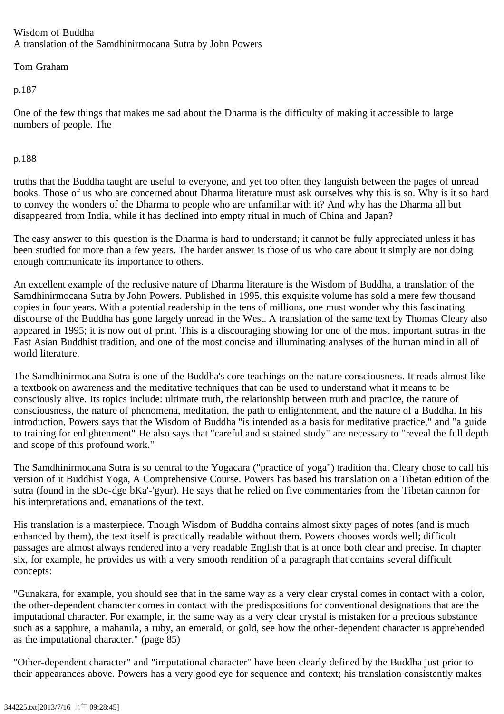## Wisdom of Buddha A translation of the Samdhinirmocana Sutra by John Powers

Tom Graham

p.187

One of the few things that makes me sad about the Dharma is the difficulty of making it accessible to large numbers of people. The

p.188

truths that the Buddha taught are useful to everyone, and yet too often they languish between the pages of unread books. Those of us who are concerned about Dharma literature must ask ourselves why this is so. Why is it so hard to convey the wonders of the Dharma to people who are unfamiliar with it? And why has the Dharma all but disappeared from India, while it has declined into empty ritual in much of China and Japan?

The easy answer to this question is the Dharma is hard to understand; it cannot be fully appreciated unless it has been studied for more than a few years. The harder answer is those of us who care about it simply are not doing enough communicate its importance to others.

An excellent example of the reclusive nature of Dharma literature is the Wisdom of Buddha, a translation of the Samdhinirmocana Sutra by John Powers. Published in 1995, this exquisite volume has sold a mere few thousand copies in four years. With a potential readership in the tens of millions, one must wonder why this fascinating discourse of the Buddha has gone largely unread in the West. A translation of the same text by Thomas Cleary also appeared in 1995; it is now out of print. This is a discouraging showing for one of the most important sutras in the East Asian Buddhist tradition, and one of the most concise and illuminating analyses of the human mind in all of world literature.

The Samdhinirmocana Sutra is one of the Buddha's core teachings on the nature consciousness. It reads almost like a textbook on awareness and the meditative techniques that can be used to understand what it means to be consciously alive. Its topics include: ultimate truth, the relationship between truth and practice, the nature of consciousness, the nature of phenomena, meditation, the path to enlightenment, and the nature of a Buddha. In his introduction, Powers says that the Wisdom of Buddha "is intended as a basis for meditative practice," and "a guide to training for enlightenment" He also says that "careful and sustained study" are necessary to "reveal the full depth and scope of this profound work."

The Samdhinirmocana Sutra is so central to the Yogacara ("practice of yoga") tradition that Cleary chose to call his version of it Buddhist Yoga, A Comprehensive Course. Powers has based his translation on a Tibetan edition of the sutra (found in the sDe-dge bKa'-'gyur). He says that he relied on five commentaries from the Tibetan cannon for his interpretations and, emanations of the text.

His translation is a masterpiece. Though Wisdom of Buddha contains almost sixty pages of notes (and is much enhanced by them), the text itself is practically readable without them. Powers chooses words well; difficult passages are almost always rendered into a very readable English that is at once both clear and precise. In chapter six, for example, he provides us with a very smooth rendition of a paragraph that contains several difficult concepts:

"Gunakara, for example, you should see that in the same way as a very clear crystal comes in contact with a color, the other-dependent character comes in contact with the predispositions for conventional designations that are the imputational character. For example, in the same way as a very clear crystal is mistaken for a precious substance such as a sapphire, a mahanila, a ruby, an emerald, or gold, see how the other-dependent character is apprehended as the imputational character." (page 85)

"Other-dependent character" and "imputational character" have been clearly defined by the Buddha just prior to their appearances above. Powers has a very good eye for sequence and context; his translation consistently makes